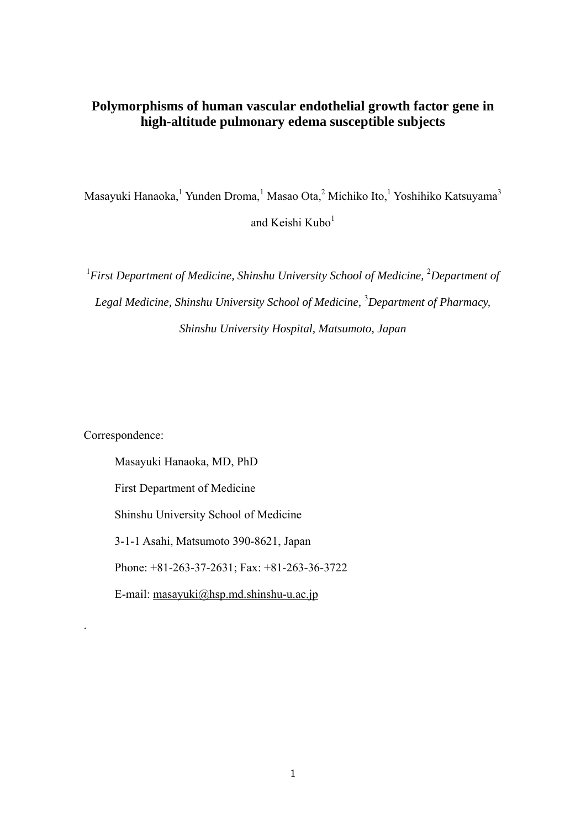## **Polymorphisms of human vascular endothelial growth factor gene in high-altitude pulmonary edema susceptible subjects**

Masayuki Hanaoka,<sup>1</sup> Yunden Droma,<sup>1</sup> Masao Ota,<sup>2</sup> Michiko Ito,<sup>1</sup> Yoshihiko Katsuyama<sup>3</sup> and Keishi Kubo $1$ 

<sup>1</sup> First Department of Medicine, Shinshu University School of Medicine, <sup>2</sup>Department of Legal Medicine, Shinshu University School of Medicine, <sup>3</sup>Department of Pharmacy, *Shinshu University Hospital, Matsumoto, Japan* 

Correspondence:

.

Masayuki Hanaoka, MD, PhD First Department of Medicine Shinshu University School of Medicine 3-1-1 Asahi, Matsumoto 390-8621, Japan Phone: +81-263-37-2631; Fax: +81-263-36-3722 E-mail: [masayuki@hsp.md.shinshu-u.ac.jp](mailto:masayuki@hsp.md.shinshu-u.ac.jp)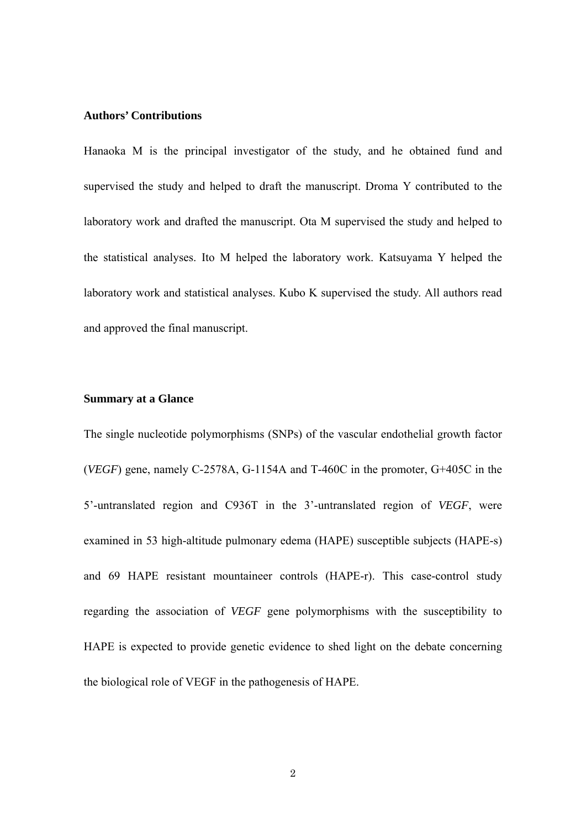#### **Authors' Contributions**

Hanaoka M is the principal investigator of the study, and he obtained fund and supervised the study and helped to draft the manuscript. Droma Y contributed to the laboratory work and drafted the manuscript. Ota M supervised the study and helped to the statistical analyses. Ito M helped the laboratory work. Katsuyama Y helped the laboratory work and statistical analyses. Kubo K supervised the study. All authors read and approved the final manuscript.

### **Summary at a Glance**

The single nucleotide polymorphisms (SNPs) of the vascular endothelial growth factor (*VEGF*) gene, namely C-2578A, G-1154A and T-460C in the promoter, G+405C in the 5'-untranslated region and C936T in the 3'-untranslated region of *VEGF*, were examined in 53 high-altitude pulmonary edema (HAPE) susceptible subjects (HAPE-s) and 69 HAPE resistant mountaineer controls (HAPE-r). This case-control study regarding the association of *VEGF* gene polymorphisms with the susceptibility to HAPE is expected to provide genetic evidence to shed light on the debate concerning the biological role of VEGF in the pathogenesis of HAPE.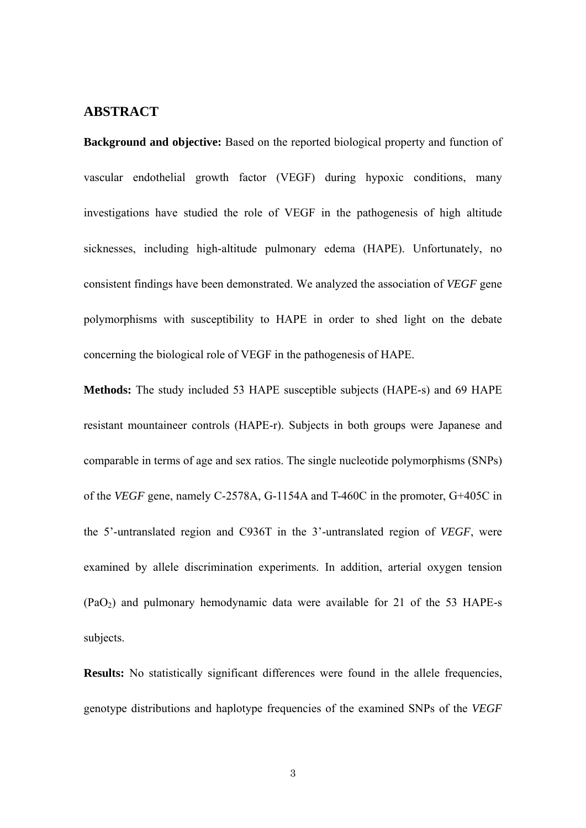## **ABSTRACT**

**Background and objective:** Based on the reported biological property and function of vascular endothelial growth factor (VEGF) during hypoxic conditions, many investigations have studied the role of VEGF in the pathogenesis of high altitude sicknesses, including high-altitude pulmonary edema (HAPE). Unfortunately, no consistent findings have been demonstrated. We analyzed the association of *VEGF* gene polymorphisms with susceptibility to HAPE in order to shed light on the debate concerning the biological role of VEGF in the pathogenesis of HAPE.

**Methods:** The study included 53 HAPE susceptible subjects (HAPE-s) and 69 HAPE resistant mountaineer controls (HAPE-r). Subjects in both groups were Japanese and comparable in terms of age and sex ratios. The single nucleotide polymorphisms (SNPs) of the *VEGF* gene, namely C-2578A, G-1154A and T-460C in the promoter, G+405C in the 5'-untranslated region and C936T in the 3'-untranslated region of *VEGF*, were examined by allele discrimination experiments. In addition, arterial oxygen tension  $(PaO<sub>2</sub>)$  and pulmonary hemodynamic data were available for 21 of the 53 HAPE-s subjects.

**Results:** No statistically significant differences were found in the allele frequencies, genotype distributions and haplotype frequencies of the examined SNPs of the *VEGF*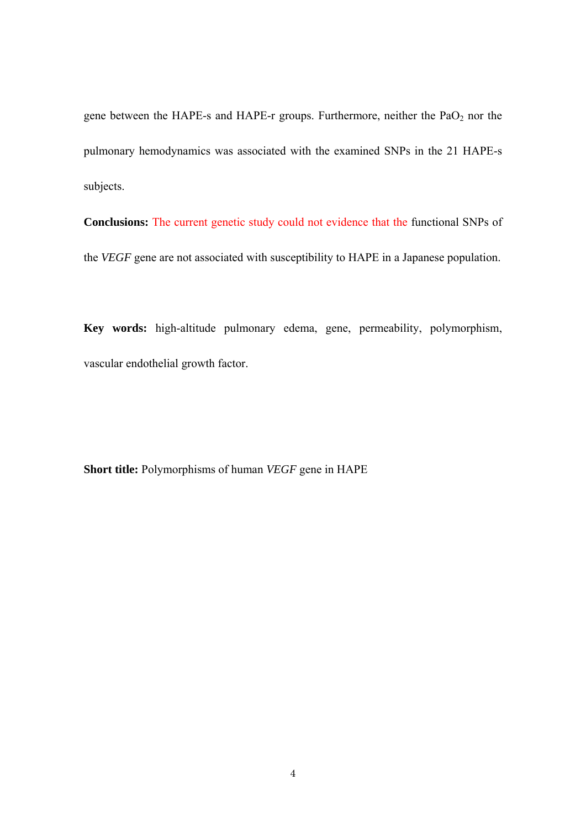gene between the HAPE-s and HAPE-r groups. Furthermore, neither the  $PaO<sub>2</sub>$  nor the pulmonary hemodynamics was associated with the examined SNPs in the 21 HAPE-s subjects.

**Conclusions:** The current genetic study could not evidence that the functional SNPs of the *VEGF* gene are not associated with susceptibility to HAPE in a Japanese population.

**Key words:** high-altitude pulmonary edema, gene, permeability, polymorphism, vascular endothelial growth factor.

**Short title:** Polymorphisms of human *VEGF* gene in HAPE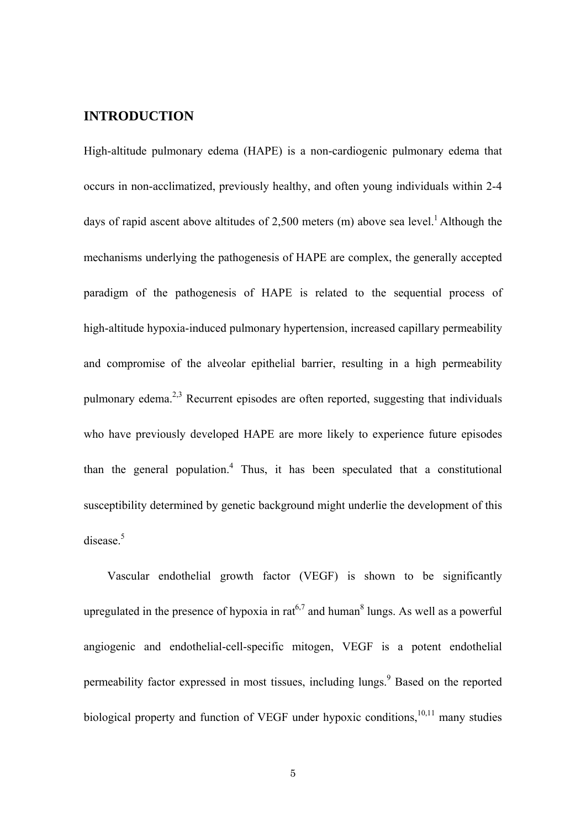## **INTRODUCTION**

High-altitude pulmonary edema (HAPE) is a non-cardiogenic pulmonary edema that occurs in non-acclimatized, previously healthy, and often young individuals within 2-4 days of rapid ascent above altitudes of 2,500 meters (m) above sea level.<sup>1</sup> Although the mechanisms underlying the pathogenesis of HAPE are complex, the generally accepted paradigm of the pathogenesis of HAPE is related to the sequential process of high-altitude hypoxia-induced pulmonary hypertension, increased capillary permeability and compromise of the alveolar epithelial barrier, resulting in a high permeability pulmonary edema.2,3 Recurrent episodes are often reported, suggesting that individuals who have previously developed HAPE are more likely to experience future episodes than the general population.<sup>4</sup> Thus, it has been speculated that a constitutional susceptibility determined by genetic background might underlie the development of this disease.<sup>5</sup>

Vascular endothelial growth factor (VEGF) is shown to be significantly upregulated in the presence of hypoxia in rat<sup>6,7</sup> and human<sup>8</sup> lungs. As well as a powerful angiogenic and endothelial-cell-specific mitogen, VEGF is a potent endothelial permeability factor expressed in most tissues, including lungs.<sup>9</sup> Based on the reported biological property and function of VEGF under hypoxic conditions,  $10,11$  many studies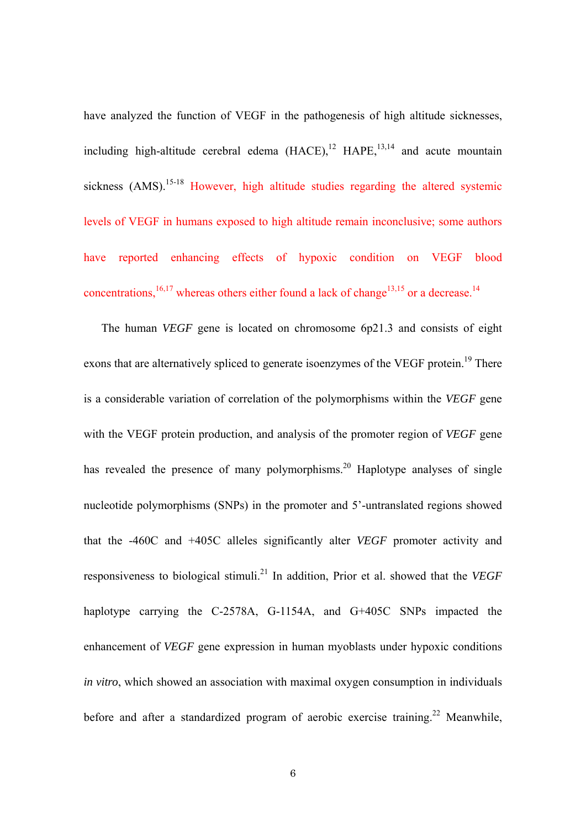have analyzed the function of VEGF in the pathogenesis of high altitude sicknesses, including high-altitude cerebral edema  $(HACE)$ ,<sup>12</sup>  $HAPE$ ,<sup>13,14</sup> and acute mountain sickness  $(AMS)$ .<sup>15-18</sup> However, high altitude studies regarding the altered systemic levels of VEGF in humans exposed to high altitude remain inconclusive; some authors have reported enhancing effects of hypoxic condition on VEGF blood concentrations,<sup>16,17</sup> whereas others either found a lack of change<sup>13,15</sup> or a decrease.<sup>14</sup>

The human *VEGF* gene is located on chromosome 6p21.3 and consists of eight exons that are alternatively spliced to generate isoenzymes of the VEGF protein.<sup>19</sup> There is a considerable variation of correlation of the polymorphisms within the *VEGF* gene with the VEGF protein production, and analysis of the promoter region of *VEGF* gene has revealed the presence of many polymorphisms.<sup>20</sup> Haplotype analyses of single nucleotide polymorphisms (SNPs) in the promoter and 5'-untranslated regions showed that the -460C and +405C alleles significantly alter *VEGF* promoter activity and responsiveness to biological stimuli.21 In addition, Prior et al. showed that the *VEGF* haplotype carrying the C-2578A, G-1154A, and G+405C SNPs impacted the enhancement of *VEGF* gene expression in human myoblasts under hypoxic conditions *in vitro*, which showed an association with maximal oxygen consumption in individuals before and after a standardized program of aerobic exercise training.<sup>22</sup> Meanwhile,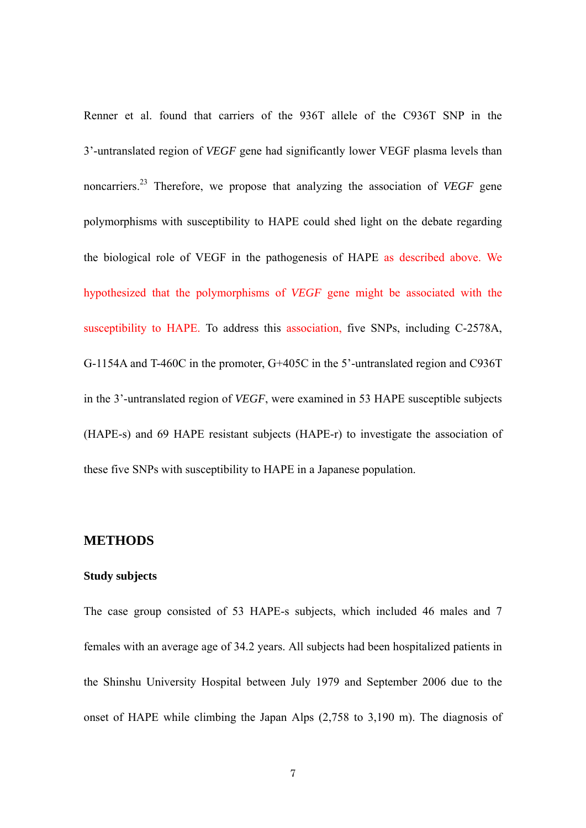Renner et al. found that carriers of the 936T allele of the C936T SNP in the 3'-untranslated region of *VEGF* gene had significantly lower VEGF plasma levels than noncarriers.23 Therefore, we propose that analyzing the association of *VEGF* gene polymorphisms with susceptibility to HAPE could shed light on the debate regarding the biological role of VEGF in the pathogenesis of HAPE as described above. We hypothesized that the polymorphisms of *VEGF* gene might be associated with the susceptibility to HAPE. To address this association, five SNPs, including C-2578A, G-1154A and T-460C in the promoter, G+405C in the 5'-untranslated region and C936T in the 3'-untranslated region of *VEGF*, were examined in 53 HAPE susceptible subjects (HAPE-s) and 69 HAPE resistant subjects (HAPE-r) to investigate the association of these five SNPs with susceptibility to HAPE in a Japanese population.

#### **METHODS**

#### **Study subjects**

The case group consisted of 53 HAPE-s subjects, which included 46 males and 7 females with an average age of 34.2 years. All subjects had been hospitalized patients in the Shinshu University Hospital between July 1979 and September 2006 due to the onset of HAPE while climbing the Japan Alps (2,758 to 3,190 m). The diagnosis of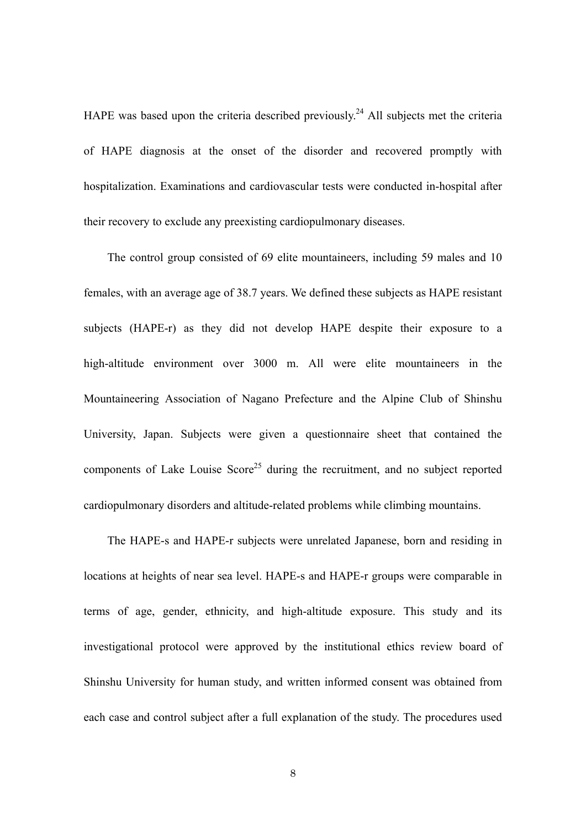HAPE was based upon the criteria described previously.<sup>24</sup> All subjects met the criteria of HAPE diagnosis at the onset of the disorder and recovered promptly with hospitalization. Examinations and cardiovascular tests were conducted in-hospital after their recovery to exclude any preexisting cardiopulmonary diseases.

The control group consisted of 69 elite mountaineers, including 59 males and 10 females, with an average age of 38.7 years. We defined these subjects as HAPE resistant subjects (HAPE-r) as they did not develop HAPE despite their exposure to a high-altitude environment over 3000 m. All were elite mountaineers in the Mountaineering Association of Nagano Prefecture and the Alpine Club of Shinshu University, Japan. Subjects were given a questionnaire sheet that contained the components of Lake Louise Score<sup>25</sup> during the recruitment, and no subject reported cardiopulmonary disorders and altitude-related problems while climbing mountains.

The HAPE-s and HAPE-r subjects were unrelated Japanese, born and residing in locations at heights of near sea level. HAPE-s and HAPE-r groups were comparable in terms of age, gender, ethnicity, and high-altitude exposure. This study and its investigational protocol were approved by the institutional ethics review board of Shinshu University for human study, and written informed consent was obtained from each case and control subject after a full explanation of the study. The procedures used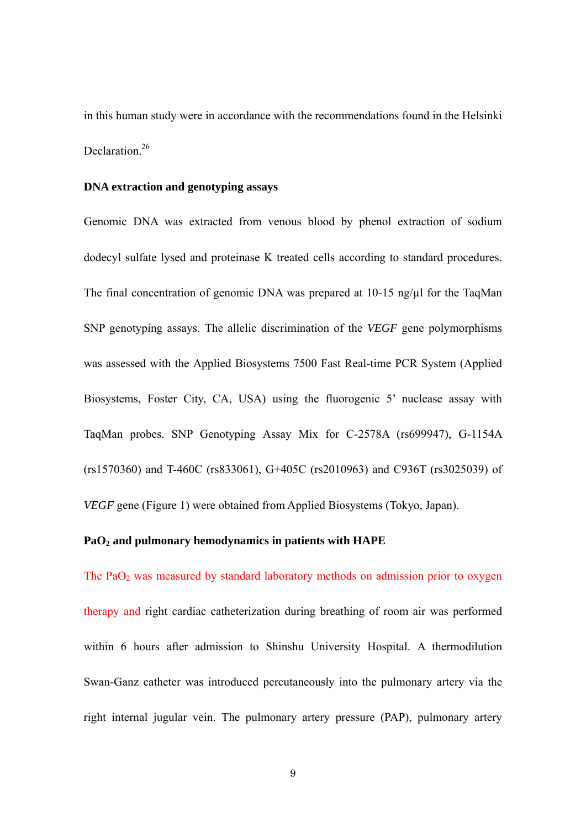in this human study were in accordance with the recommendations found in the Helsinki Declaration.<sup>26</sup>

#### **DNA extraction and genotyping assays**

Genomic DNA was extracted from venous blood by phenol extraction of sodium dodecyl sulfate lysed and proteinase K treated cells according to standard procedures. The final concentration of genomic DNA was prepared at  $10-15$  ng/ $\mu$ l for the TaqMan SNP genotyping assays. The allelic discrimination of the *VEGF* gene polymorphisms was assessed with the Applied Biosystems 7500 Fast Real-time PCR System (Applied Biosystems, Foster City, CA, USA) using the fluorogenic 5' nuclease assay with TaqMan probes. SNP Genotyping Assay Mix for C-2578A (rs699947), G-1154A (rs1570360) and T-460C (rs833061), G+405C (rs2010963) and C936T (rs3025039) of *VEGF* gene (Figure 1) were obtained from Applied Biosystems (Tokyo, Japan).

## **PaO2 and pulmonary hemodynamics in patients with HAPE**

The PaO<sub>2</sub> was measured by standard laboratory methods on admission prior to oxygen therapy and right cardiac catheterization during breathing of room air was performed within 6 hours after admission to Shinshu University Hospital. A thermodilution Swan-Ganz catheter was introduced percutaneously into the pulmonary artery via the right internal jugular vein. The pulmonary artery pressure (PAP), pulmonary artery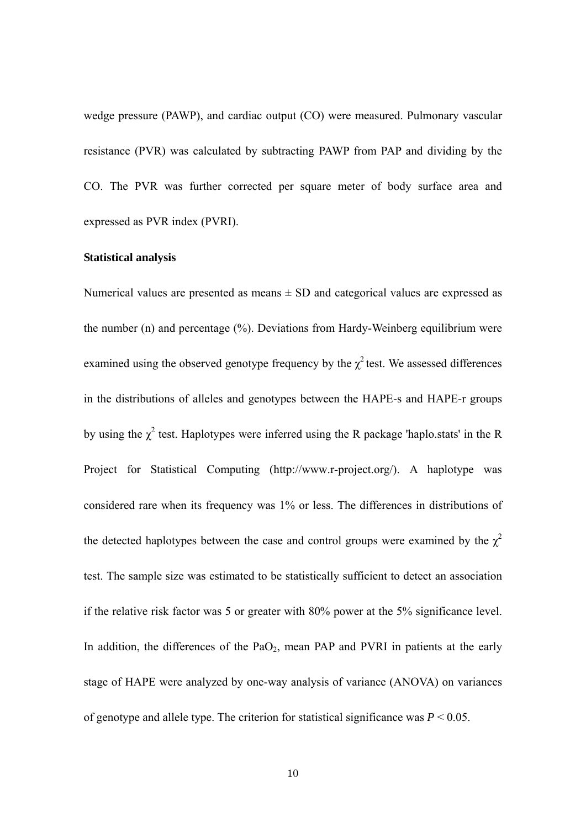wedge pressure (PAWP), and cardiac output (CO) were measured. Pulmonary vascular resistance (PVR) was calculated by subtracting PAWP from PAP and dividing by the CO. The PVR was further corrected per square meter of body surface area and expressed as PVR index (PVRI).

## **Statistical analysis**

Numerical values are presented as means  $\pm$  SD and categorical values are expressed as the number (n) and percentage (%). Deviations from Hardy-Weinberg equilibrium were examined using the observed genotype frequency by the  $\chi^2$  test. We assessed differences in the distributions of alleles and genotypes between the HAPE-s and HAPE-r groups by using the  $\chi^2$  test. Haplotypes were inferred using the R package 'haplo.stats' in the R Project for Statistical Computing [\(http://www.r-project.org/](http://www.r-project.org/)). A haplotype was considered rare when its frequency was 1% or less. The differences in distributions of the detected haplotypes between the case and control groups were examined by the  $\chi^2$ test. The sample size was estimated to be statistically sufficient to detect an association if the relative risk factor was 5 or greater with 80% power at the 5% significance level. In addition, the differences of the  $PaO<sub>2</sub>$ , mean PAP and PVRI in patients at the early stage of HAPE were analyzed by one-way analysis of variance (ANOVA) on variances of genotype and allele type. The criterion for statistical significance was *P* < 0.05.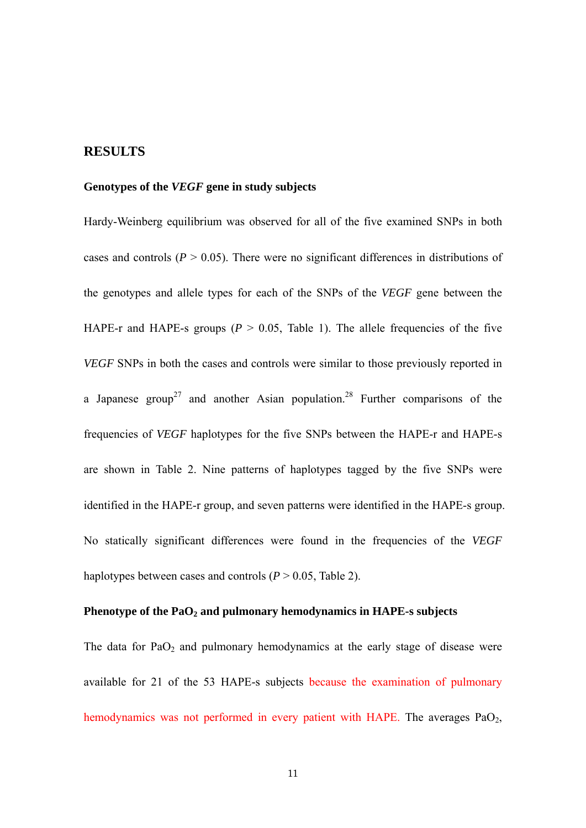## **RESULTS**

#### **Genotypes of the** *VEGF* **gene in study subjects**

Hardy-Weinberg equilibrium was observed for all of the five examined SNPs in both cases and controls ( $P > 0.05$ ). There were no significant differences in distributions of the genotypes and allele types for each of the SNPs of the *VEGF* gene between the HAPE-r and HAPE-s groups ( $P > 0.05$ , Table 1). The allele frequencies of the five *VEGF* SNPs in both the cases and controls were similar to those previously reported in a Japanese group<sup>27</sup> and another Asian population.<sup>28</sup> Further comparisons of the frequencies of *VEGF* haplotypes for the five SNPs between the HAPE-r and HAPE-s are shown in Table 2. Nine patterns of haplotypes tagged by the five SNPs were identified in the HAPE-r group, and seven patterns were identified in the HAPE-s group. No statically significant differences were found in the frequencies of the *VEGF* haplotypes between cases and controls  $(P > 0.05$ . Table 2).

#### Phenotype of the PaO<sub>2</sub> and pulmonary hemodynamics in HAPE-s subjects

The data for  $PaO<sub>2</sub>$  and pulmonary hemodynamics at the early stage of disease were available for 21 of the 53 HAPE-s subjects because the examination of pulmonary hemodynamics was not performed in every patient with HAPE. The averages  $PaO<sub>2</sub>$ ,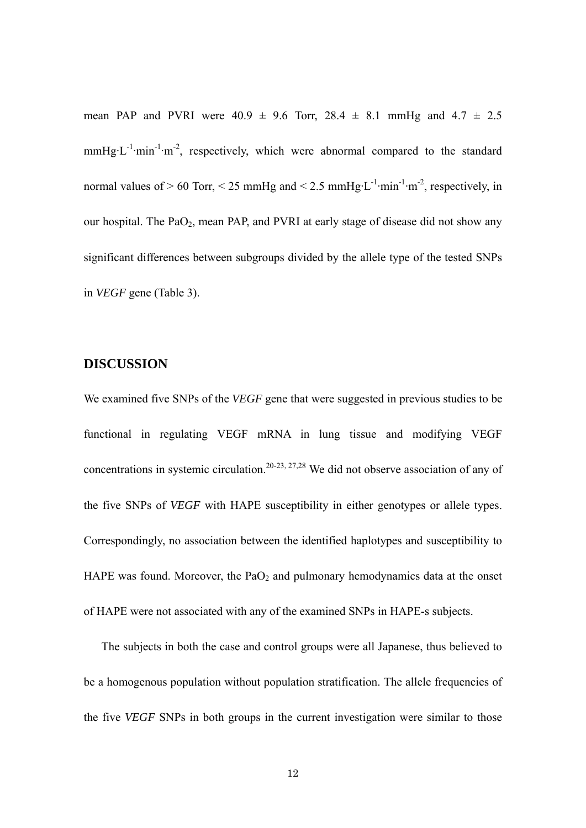mean PAP and PVRI were  $40.9 \pm 9.6$  Torr,  $28.4 \pm 8.1$  mmHg and  $4.7 \pm 2.5$ mmHg·L<sup>-1</sup>·min<sup>-1</sup>·m<sup>-2</sup>, respectively, which were abnormal compared to the standard normal values of  $> 60$  Torr,  $< 25$  mmHg and  $< 2.5$  mmHg·L<sup>-1</sup>·min<sup>-1</sup>·m<sup>-2</sup>, respectively, in our hospital. The  $PaO<sub>2</sub>$ , mean PAP, and PVRI at early stage of disease did not show any significant differences between subgroups divided by the allele type of the tested SNPs in *VEGF* gene (Table 3).

## **DISCUSSION**

We examined five SNPs of the *VEGF* gene that were suggested in previous studies to be functional in regulating VEGF mRNA in lung tissue and modifying VEGF concentrations in systemic circulation.<sup>20-23, 27,28</sup> We did not observe association of any of the five SNPs of *VEGF* with HAPE susceptibility in either genotypes or allele types. Correspondingly, no association between the identified haplotypes and susceptibility to HAPE was found. Moreover, the  $PaO<sub>2</sub>$  and pulmonary hemodynamics data at the onset of HAPE were not associated with any of the examined SNPs in HAPE-s subjects.

The subjects in both the case and control groups were all Japanese, thus believed to be a homogenous population without population stratification. The allele frequencies of the five *VEGF* SNPs in both groups in the current investigation were similar to those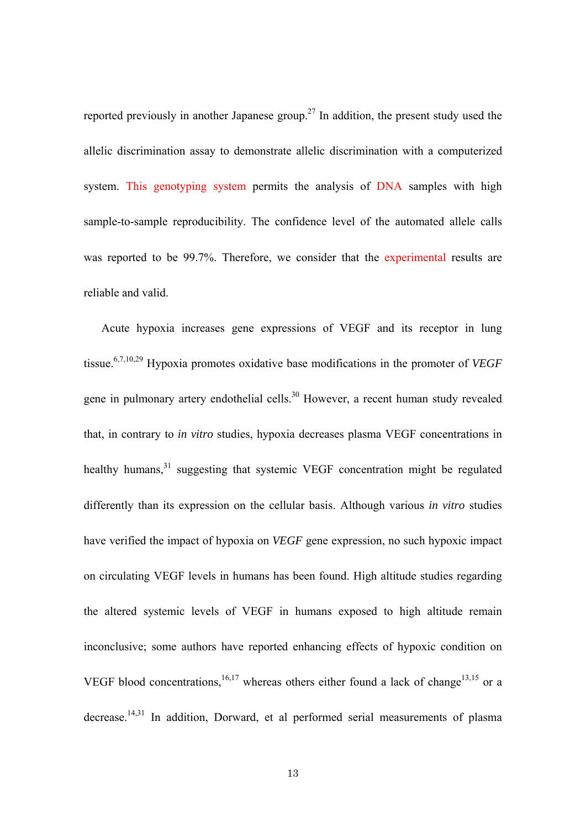reported previously in another Japanese group.<sup>27</sup> In addition, the present study used the allelic discrimination assay to demonstrate allelic discrimination with a computerized system. This genotyping system permits the analysis of DNA samples with high sample-to-sample reproducibility. The confidence level of the automated allele calls was reported to be 99.7%. Therefore, we consider that the experimental results are reliable and valid.

Acute hypoxia increases gene expressions of VEGF and its receptor in lung tissue.6,7,10,29 Hypoxia promotes oxidative base modifications in the promoter of *VEGF*  gene in pulmonary artery endothelial cells.<sup>30</sup> However, a recent human study revealed that, in contrary to *in vitro* studies, hypoxia decreases plasma VEGF concentrations in healthy humans,<sup>31</sup> suggesting that systemic VEGF concentration might be regulated differently than its expression on the cellular basis. Although various *in vitro* studies have verified the impact of hypoxia on *VEGF* gene expression, no such hypoxic impact on circulating VEGF levels in humans has been found. High altitude studies regarding the altered systemic levels of VEGF in humans exposed to high altitude remain inconclusive; some authors have reported enhancing effects of hypoxic condition on VEGF blood concentrations,<sup>16,17</sup> whereas others either found a lack of change<sup>13,15</sup> or a decrease.14,31 In addition, Dorward, et al performed serial measurements of plasma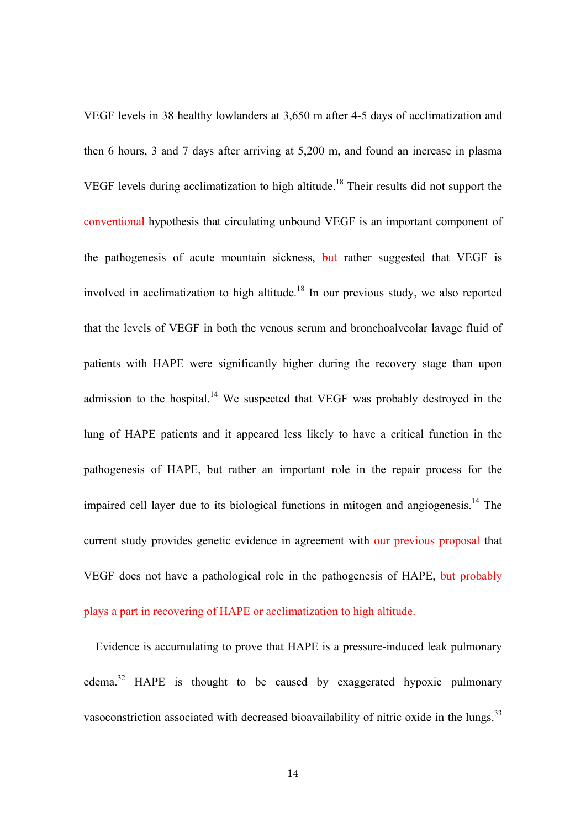VEGF levels in 38 healthy lowlanders at 3,650 m after 4-5 days of acclimatization and then 6 hours, 3 and 7 days after arriving at 5,200 m, and found an increase in plasma VEGF levels during acclimatization to high altitude.<sup>18</sup> Their results did not support the conventional hypothesis that circulating unbound VEGF is an important component of the pathogenesis of acute mountain sickness, but rather suggested that VEGF is involved in acclimatization to high altitude.18 In our previous study, we also reported that the levels of VEGF in both the venous serum and bronchoalveolar lavage fluid of patients with HAPE were significantly higher during the recovery stage than upon admission to the hospital.<sup>14</sup> We suspected that VEGF was probably destroyed in the lung of HAPE patients and it appeared less likely to have a critical function in the pathogenesis of HAPE, but rather an important role in the repair process for the impaired cell layer due to its biological functions in mitogen and angiogenesis.<sup>14</sup> The current study provides genetic evidence in agreement with our previous proposal that VEGF does not have a pathological role in the pathogenesis of HAPE, but probably plays a part in recovering of HAPE or acclimatization to high altitude.

Evidence is accumulating to prove that HAPE is a pressure-induced leak pulmonary edema.<sup>32</sup> HAPE is thought to be caused by exaggerated hypoxic pulmonary vasoconstriction associated with decreased bioavailability of nitric oxide in the lungs.<sup>33</sup>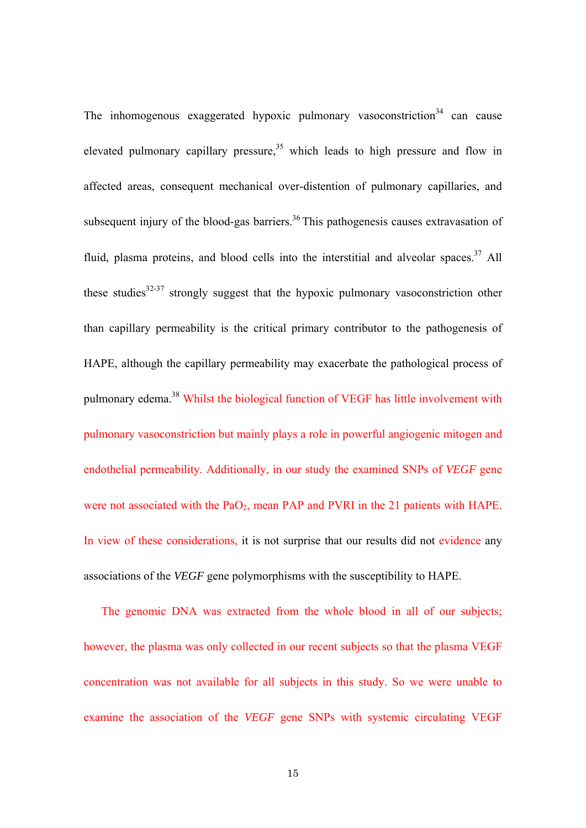The inhomogenous exaggerated hypoxic pulmonary vasoconstriction<sup>34</sup> can cause elevated pulmonary capillary pressure,  $35$  which leads to high pressure and flow in affected areas, consequent mechanical over-distention of pulmonary capillaries, and subsequent injury of the blood-gas barriers.<sup>36</sup> This pathogenesis causes extravasation of fluid, plasma proteins, and blood cells into the interstitial and alveolar spaces.<sup>37</sup> All these studies $32-37$  strongly suggest that the hypoxic pulmonary vasoconstriction other than capillary permeability is the critical primary contributor to the pathogenesis of HAPE, although the capillary permeability may exacerbate the pathological process of pulmonary edema.38 Whilst the biological function of VEGF has little involvement with pulmonary vasoconstriction but mainly plays a role in powerful angiogenic mitogen and endothelial permeability. Additionally, in our study the examined SNPs of *VEGF* gene were not associated with the  $PaO<sub>2</sub>$ , mean PAP and PVRI in the 21 patients with HAPE. In view of these considerations, it is not surprise that our results did not evidence any associations of the *VEGF* gene polymorphisms with the susceptibility to HAPE.

The genomic DNA was extracted from the whole blood in all of our subjects; however, the plasma was only collected in our recent subjects so that the plasma VEGF concentration was not available for all subjects in this study. So we were unable to examine the association of the *VEGF* gene SNPs with systemic circulating VEGF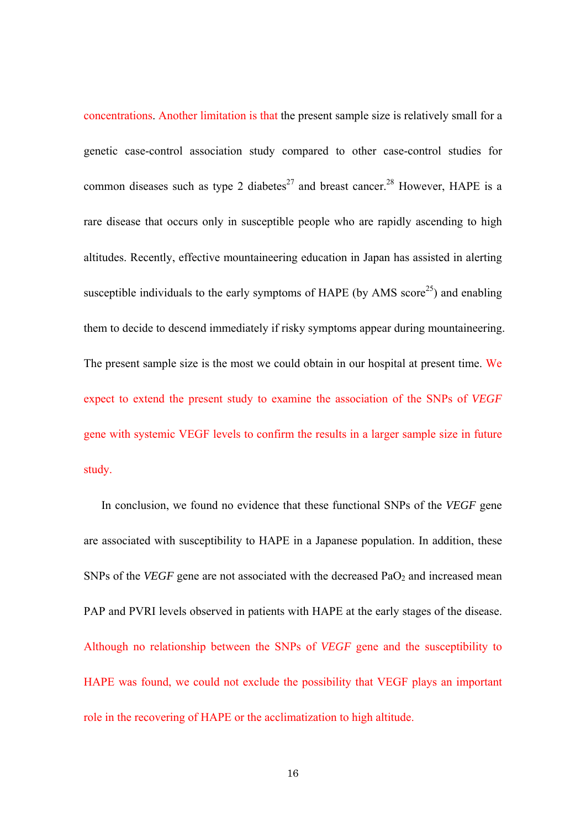concentrations. Another limitation is that the present sample size is relatively small for a genetic case-control association study compared to other case-control studies for common diseases such as type 2 diabetes<sup>27</sup> and breast cancer.<sup>28</sup> However, HAPE is a rare disease that occurs only in susceptible people who are rapidly ascending to high altitudes. Recently, effective mountaineering education in Japan has assisted in alerting susceptible individuals to the early symptoms of HAPE (by AMS score<sup>25</sup>) and enabling them to decide to descend immediately if risky symptoms appear during mountaineering. The present sample size is the most we could obtain in our hospital at present time. We expect to extend the present study to examine the association of the SNPs of *VEGF* gene with systemic VEGF levels to confirm the results in a larger sample size in future study.

In conclusion, we found no evidence that these functional SNPs of the *VEGF* gene are associated with susceptibility to HAPE in a Japanese population. In addition, these SNPs of the *VEGF* gene are not associated with the decreased PaO<sub>2</sub> and increased mean PAP and PVRI levels observed in patients with HAPE at the early stages of the disease. Although no relationship between the SNPs of *VEGF* gene and the susceptibility to HAPE was found, we could not exclude the possibility that VEGF plays an important role in the recovering of HAPE or the acclimatization to high altitude.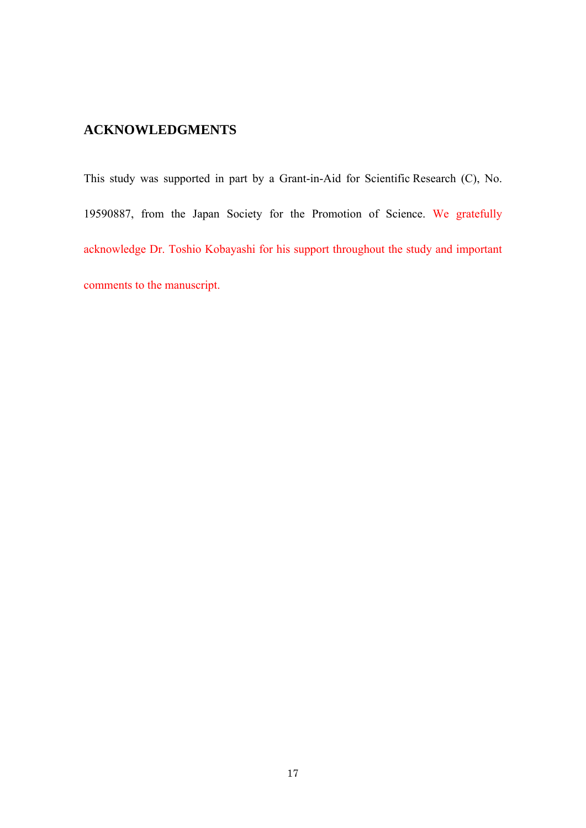# **ACKNOWLEDGMENTS**

This study was supported in part by a Grant-in-Aid for Scientific Research (C), No. 19590887, from the Japan Society for the Promotion of Science. We gratefully acknowledge Dr. Toshio Kobayashi for his support throughout the study and important comments to the manuscript.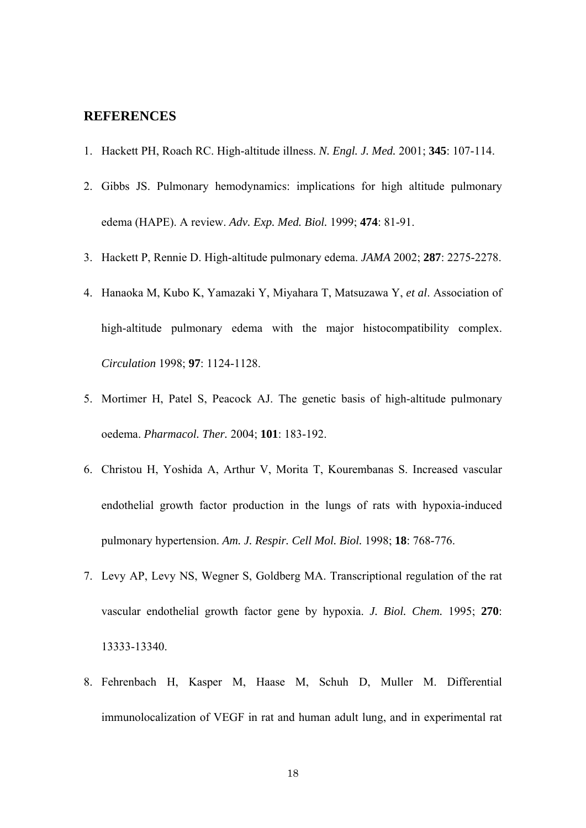## **REFERENCES**

- 1. Hackett PH, Roach RC. High-altitude illness. *N. Engl. J. Med.* 2001; **345**: 107-114.
- 2. Gibbs JS. Pulmonary hemodynamics: implications for high altitude pulmonary edema (HAPE). A review. *Adv. Exp. Med. Biol.* 1999; **474**: 81-91.
- 3. Hackett P, Rennie D. High-altitude pulmonary edema. *JAMA* 2002; **287**: 2275-2278.
- 4. Hanaoka M, Kubo K, Yamazaki Y, Miyahara T, Matsuzawa Y, *et al*. Association of high-altitude pulmonary edema with the major histocompatibility complex. *Circulation* 1998; **97**: 1124-1128.
- 5. Mortimer H, Patel S, Peacock AJ. The genetic basis of high-altitude pulmonary oedema. *Pharmacol. Ther.* 2004; **101**: 183-192.
- 6. Christou H, Yoshida A, Arthur V, Morita T, Kourembanas S. Increased vascular endothelial growth factor production in the lungs of rats with hypoxia-induced pulmonary hypertension. *Am. J. Respir. Cell Mol. Biol.* 1998; **18**: 768-776.
- 7. Levy AP, Levy NS, Wegner S, Goldberg MA. Transcriptional regulation of the rat vascular endothelial growth factor gene by hypoxia. *J. Biol. Chem.* 1995; **270**: 13333-13340.
- 8. Fehrenbach H, Kasper M, Haase M, Schuh D, Muller M. Differential immunolocalization of VEGF in rat and human adult lung, and in experimental rat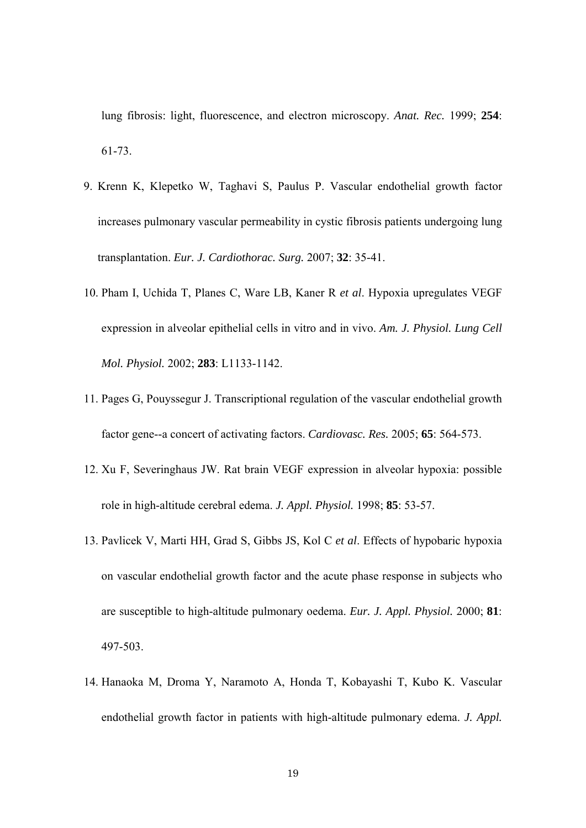lung fibrosis: light, fluorescence, and electron microscopy. *Anat. Rec.* 1999; **254**: 61-73.

- 9. Krenn K, Klepetko W, Taghavi S, Paulus P. Vascular endothelial growth factor increases pulmonary vascular permeability in cystic fibrosis patients undergoing lung transplantation. *Eur. J. Cardiothorac. Surg.* 2007; **32**: 35-41.
- 10. Pham I, Uchida T, Planes C, Ware LB, Kaner R *et al*. Hypoxia upregulates VEGF expression in alveolar epithelial cells in vitro and in vivo. *Am. J. Physiol. Lung Cell Mol. Physiol.* 2002; **283**: L1133-1142.
- 11. Pages G, Pouyssegur J. Transcriptional regulation of the vascular endothelial growth factor gene--a concert of activating factors. *Cardiovasc. Res.* 2005; **65**: 564-573.
- 12. Xu F, Severinghaus JW. Rat brain VEGF expression in alveolar hypoxia: possible role in high-altitude cerebral edema. *J. Appl. Physiol.* 1998; **85**: 53-57.
- 13. Pavlicek V, Marti HH, Grad S, Gibbs JS, Kol C *et al*. Effects of hypobaric hypoxia on vascular endothelial growth factor and the acute phase response in subjects who are susceptible to high-altitude pulmonary oedema. *Eur. J. Appl. Physiol.* 2000; **81**: 497-503.
- 14. Hanaoka M, Droma Y, Naramoto A, Honda T, Kobayashi T, Kubo K. Vascular endothelial growth factor in patients with high-altitude pulmonary edema. *J. Appl.*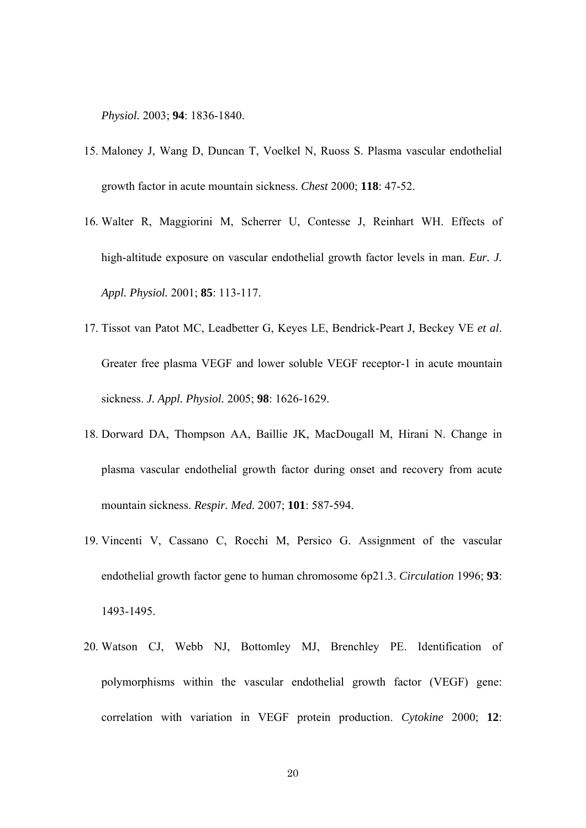*Physiol.* 2003; **94**: 1836-1840.

- 15. Maloney J, Wang D, Duncan T, Voelkel N, Ruoss S. Plasma vascular endothelial growth factor in acute mountain sickness. *Chest* 2000; **118**: 47-52.
- 16. Walter R, Maggiorini M, Scherrer U, Contesse J, Reinhart WH. Effects of high-altitude exposure on vascular endothelial growth factor levels in man. *Eur. J. Appl. Physiol.* 2001; **85**: 113-117.
- 17. Tissot van Patot MC, Leadbetter G, Keyes LE, Bendrick-Peart J, Beckey VE *et al*. Greater free plasma VEGF and lower soluble VEGF receptor-1 in acute mountain sickness. *J. Appl. Physiol.* 2005; **98**: 1626-1629.
- 18. Dorward DA, Thompson AA, Baillie JK, MacDougall M, Hirani N. Change in plasma vascular endothelial growth factor during onset and recovery from acute mountain sickness. *Respir. Med.* 2007; **101**: 587-594.
- 19. Vincenti V, Cassano C, Rocchi M, Persico G. Assignment of the vascular endothelial growth factor gene to human chromosome 6p21.3. *Circulation* 1996; **93**: 1493-1495.
- 20. Watson CJ, Webb NJ, Bottomley MJ, Brenchley PE. Identification of polymorphisms within the vascular endothelial growth factor (VEGF) gene: correlation with variation in VEGF protein production. *Cytokine* 2000; **12**: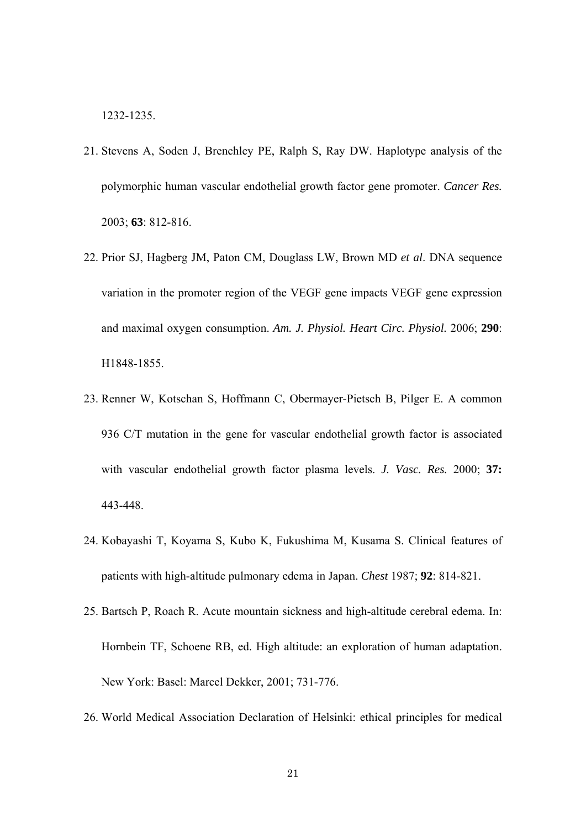1232-1235.

- 21. Stevens A, Soden J, Brenchley PE, Ralph S, Ray DW. Haplotype analysis of the polymorphic human vascular endothelial growth factor gene promoter. *Cancer Res.* 2003; **63**: 812-816.
- 22. Prior SJ, Hagberg JM, Paton CM, Douglass LW, Brown MD *et al*. DNA sequence variation in the promoter region of the VEGF gene impacts VEGF gene expression and maximal oxygen consumption. *Am. J. Physiol. Heart Circ. Physiol.* 2006; **290**: H1848-1855.
- 23. Renner W, Kotschan S, Hoffmann C, Obermayer-Pietsch B, Pilger E. A common 936 C/T mutation in the gene for vascular endothelial growth factor is associated with vascular endothelial growth factor plasma levels. *J. Vasc. Res.* 2000; **37:**  443-448.
- 24. Kobayashi T, Koyama S, Kubo K, Fukushima M, Kusama S. Clinical features of patients with high-altitude pulmonary edema in Japan. *Chest* 1987; **92**: 814-821.
- 25. Bartsch P, Roach R. Acute mountain sickness and high-altitude cerebral edema. In: Hornbein TF, Schoene RB, ed. High altitude: an exploration of human adaptation. New York: Basel: Marcel Dekker, 2001; 731-776.
- 26. World Medical Association Declaration of Helsinki: ethical principles for medical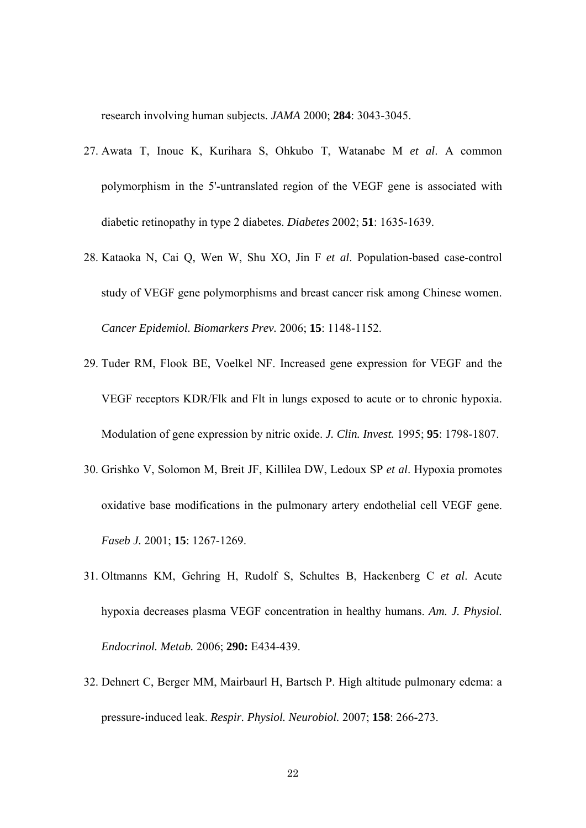research involving human subjects. *JAMA* 2000; **284**: 3043-3045.

- 27. Awata T, Inoue K, Kurihara S, Ohkubo T, Watanabe M *et al*. A common polymorphism in the 5'-untranslated region of the VEGF gene is associated with diabetic retinopathy in type 2 diabetes. *Diabetes* 2002; **51**: 1635-1639.
- 28. Kataoka N, Cai Q, Wen W, Shu XO, Jin F *et al*. Population-based case-control study of VEGF gene polymorphisms and breast cancer risk among Chinese women. *Cancer Epidemiol. Biomarkers Prev.* 2006; **15**: 1148-1152.
- 29. Tuder RM, Flook BE, Voelkel NF. Increased gene expression for VEGF and the VEGF receptors KDR/Flk and Flt in lungs exposed to acute or to chronic hypoxia. Modulation of gene expression by nitric oxide. *J. Clin. Invest.* 1995; **95**: 1798-1807.
- 30. Grishko V, Solomon M, Breit JF, Killilea DW, Ledoux SP *et al*. Hypoxia promotes oxidative base modifications in the pulmonary artery endothelial cell VEGF gene. *Faseb J.* 2001; **15**: 1267-1269.
- 31. Oltmanns KM, Gehring H, Rudolf S, Schultes B, Hackenberg C *et al*. Acute hypoxia decreases plasma VEGF concentration in healthy humans. *Am. J. Physiol. Endocrinol. Metab.* 2006; **290:** E434-439.
- 32. Dehnert C, Berger MM, Mairbaurl H, Bartsch P. High altitude pulmonary edema: a pressure-induced leak. *Respir. Physiol. Neurobiol.* 2007; **158**: 266-273.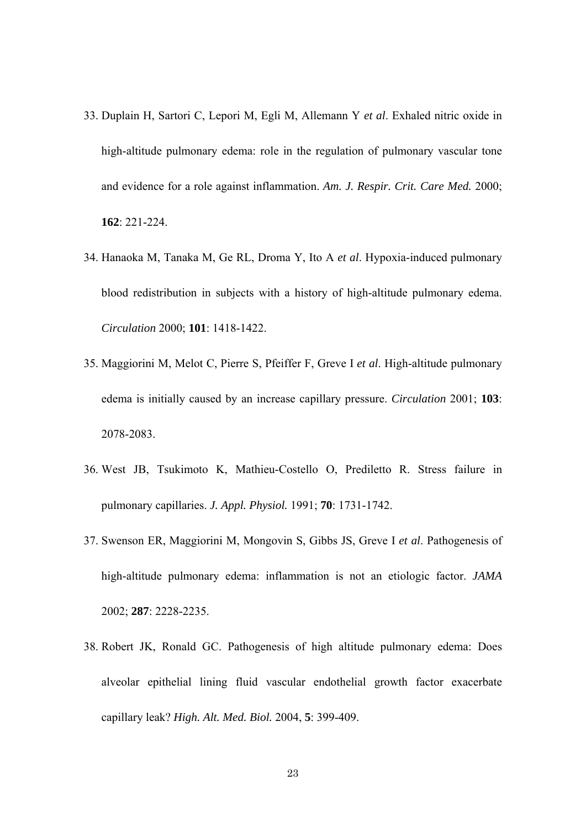- 33. Duplain H, Sartori C, Lepori M, Egli M, Allemann Y *et al*. Exhaled nitric oxide in high-altitude pulmonary edema: role in the regulation of pulmonary vascular tone and evidence for a role against inflammation. *Am. J. Respir. Crit. Care Med.* 2000; **162**: 221-224.
- 34. Hanaoka M, Tanaka M, Ge RL, Droma Y, Ito A *et al*. Hypoxia-induced pulmonary blood redistribution in subjects with a history of high-altitude pulmonary edema. *Circulation* 2000; **101**: 1418-1422.
- 35. Maggiorini M, Melot C, Pierre S, Pfeiffer F, Greve I *et al*. High-altitude pulmonary edema is initially caused by an increase capillary pressure. *Circulation* 2001; **103**: 2078-2083.
- 36. West JB, Tsukimoto K, Mathieu-Costello O, Prediletto R. Stress failure in pulmonary capillaries. *J. Appl. Physiol.* 1991; **70**: 1731-1742.
- 37. Swenson ER, Maggiorini M, Mongovin S, Gibbs JS, Greve I *et al*. Pathogenesis of high-altitude pulmonary edema: inflammation is not an etiologic factor. *JAMA* 2002; **287**: 2228-2235.
- 38. Robert JK, Ronald GC. Pathogenesis of high altitude pulmonary edema: Does alveolar epithelial lining fluid vascular endothelial growth factor exacerbate capillary leak? *High. Alt. Med. Biol.* 2004, **5**: 399-409.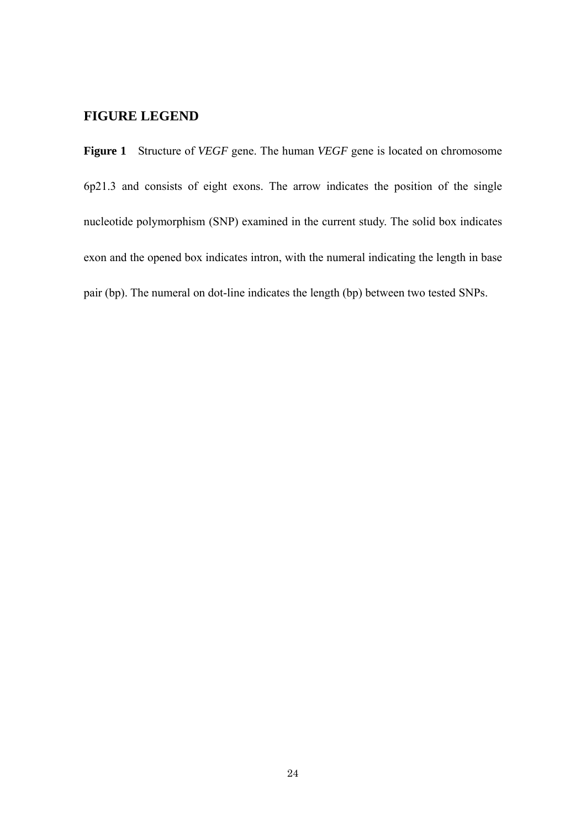# **FIGURE LEGEND**

**Figure 1** Structure of *VEGF* gene. The human *VEGF* gene is located on chromosome 6p21.3 and consists of eight exons. The arrow indicates the position of the single nucleotide polymorphism (SNP) examined in the current study. The solid box indicates exon and the opened box indicates intron, with the numeral indicating the length in base pair (bp). The numeral on dot-line indicates the length (bp) between two tested SNPs.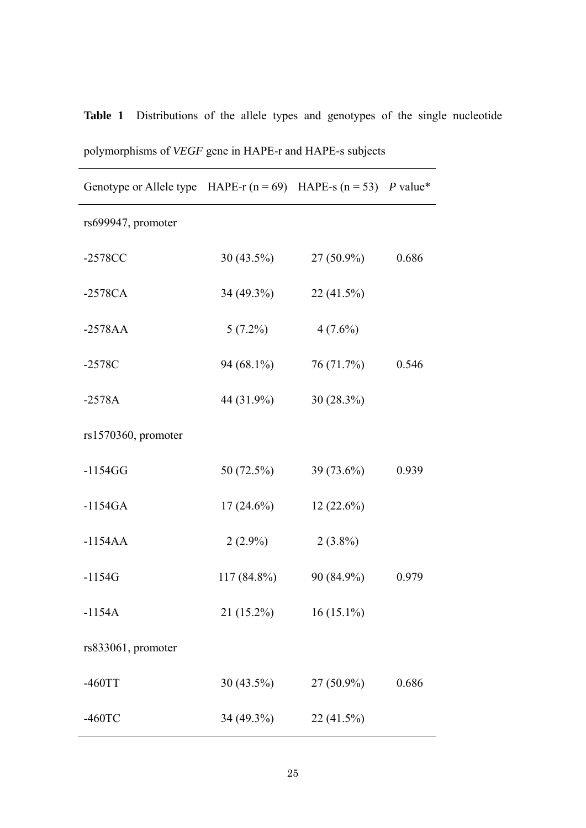| $\mathcal{L}_{\mathcal{I}}$ . The principality of $\mathcal{I}$      |               |              |       |  |  |
|----------------------------------------------------------------------|---------------|--------------|-------|--|--|
| Genotype or Allele type HAPE-r $(n = 69)$ HAPE-s $(n = 53)$ P value* |               |              |       |  |  |
| rs699947, promoter                                                   |               |              |       |  |  |
| $-2578CC$                                                            | $30(43.5\%)$  | $27(50.9\%)$ | 0.686 |  |  |
| $-2578CA$                                                            | 34 (49.3%)    | 22 (41.5%)   |       |  |  |
| $-2578AA$                                                            | $5(7.2\%)$    | $4(7.6\%)$   |       |  |  |
| $-2578C$                                                             | 94 (68.1%)    | 76 (71.7%)   | 0.546 |  |  |
| $-2578A$                                                             | 44 (31.9%)    | $30(28.3\%)$ |       |  |  |
| rs1570360, promoter                                                  |               |              |       |  |  |
| $-1154GG$                                                            | 50 (72.5%)    | 39 (73.6%)   | 0.939 |  |  |
| $-1154GA$                                                            | $17(24.6\%)$  | $12(22.6\%)$ |       |  |  |
| $-1154AA$                                                            | $2(2.9\%)$    | $2(3.8\%)$   |       |  |  |
| $-1154G$                                                             | $117(84.8\%)$ | 90 (84.9%)   | 0.979 |  |  |
| $-1154A$                                                             | $21(15.2\%)$  | $16(15.1\%)$ |       |  |  |
| rs833061, promoter                                                   |               |              |       |  |  |
| $-460TT$                                                             | 30 (43.5%)    | $27(50.9\%)$ | 0.686 |  |  |
| $-460$ TC                                                            | 34 (49.3%)    | 22 (41.5%)   |       |  |  |

polymorphisms of *VEGF* gene in HAPE-r and HAPE-s subjects

**Table 1** Distributions of the allele types and genotypes of the single nucleotide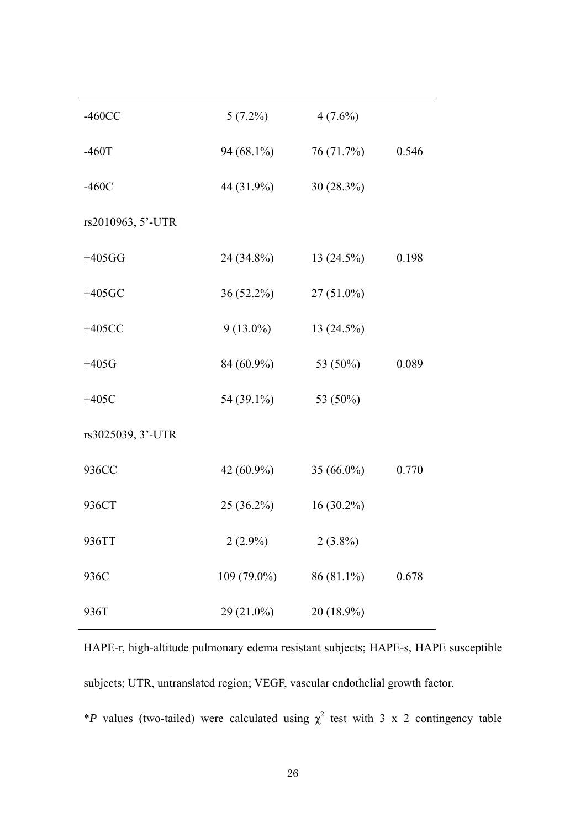| $-460CC$          | $5(7.2\%)$    | $4(7.6\%)$    |       |
|-------------------|---------------|---------------|-------|
| $-460T$           | 94 $(68.1\%)$ | 76(71.7%)     | 0.546 |
| $-460C$           | 44 (31.9%)    | $30(28.3\%)$  |       |
| rs2010963, 5'-UTR |               |               |       |
| $+405GG$          | 24 (34.8%)    | 13(24.5%)     | 0.198 |
| $+405$ GC         | $36(52.2\%)$  | $27(51.0\%)$  |       |
| $+405CC$          | $9(13.0\%)$   | $13(24.5\%)$  |       |
| $+405G$           | 84 (60.9%)    | 53 (50%)      | 0.089 |
| $+405C$           | 54 (39.1%)    | 53 (50%)      |       |
| rs3025039, 3'-UTR |               |               |       |
| 936CC             | 42 (60.9%)    | 35 $(66.0\%)$ | 0.770 |
| 936CT             | $25(36.2\%)$  | $16(30.2\%)$  |       |
| 936TT             | $2(2.9\%)$    | $2(3.8\%)$    |       |
| 936C              | 109 (79.0%)   | 86 (81.1%)    | 0.678 |
| 936T              | 29 (21.0%)    | 20 (18.9%)    |       |

HAPE-r, high-altitude pulmonary edema resistant subjects; HAPE-s, HAPE susceptible subjects; UTR, untranslated region; VEGF, vascular endothelial growth factor.

\**P* values (two-tailed) were calculated using  $\chi^2$  test with 3 x 2 contingency table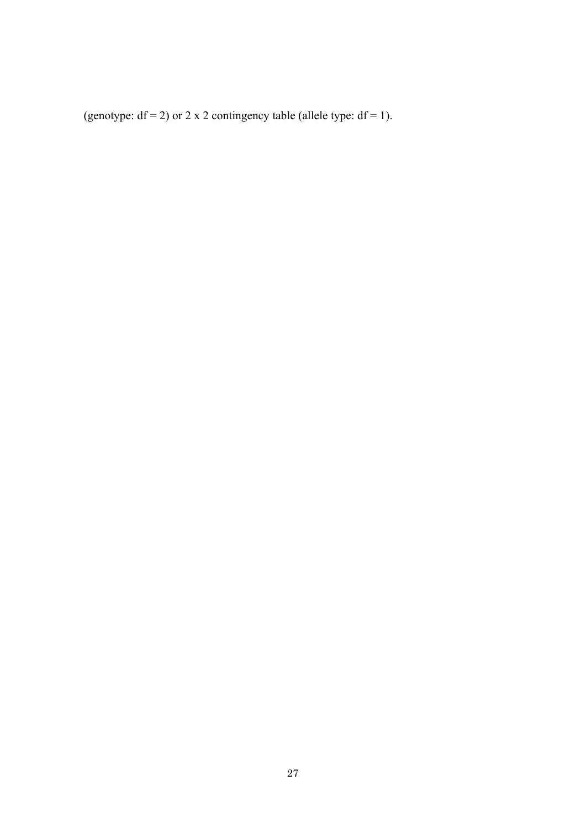(genotype:  $df = 2$ ) or 2 x 2 contingency table (allele type:  $df = 1$ ).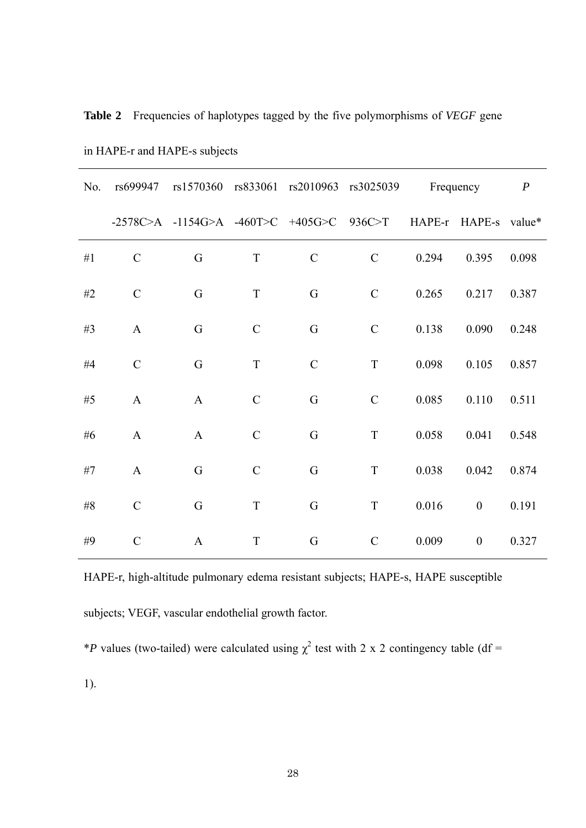| No.   | rs699947      |                                          |               |               | rs1570360 rs833061 rs2010963 rs3025039 | Frequency |                      | $\boldsymbol{P}$ |
|-------|---------------|------------------------------------------|---------------|---------------|----------------------------------------|-----------|----------------------|------------------|
|       |               | -2578C>A -1154G>A -460T>C +405G>C 936C>T |               |               |                                        |           | HAPE-r HAPE-s value* |                  |
| #1    | $\mathcal{C}$ | G                                        | T             | $\mathcal{C}$ | $\mathcal{C}$                          | 0.294     | 0.395                | 0.098            |
| #2    | $\mathcal{C}$ | G                                        | $\mathbf T$   | G             | $\mathcal{C}$                          | 0.265     | 0.217                | 0.387            |
| #3    | $\mathbf{A}$  | G                                        | $\mathcal{C}$ | G             | $\mathbf C$                            | 0.138     | 0.090                | 0.248            |
| #4    | $\mathcal{C}$ | G                                        | $\mathbf T$   | $\mathcal{C}$ | T                                      | 0.098     | 0.105                | 0.857            |
| #5    | $\mathbf{A}$  | $\mathbf{A}$                             | $\mathcal{C}$ | G             | $\mathbf C$                            | 0.085     | 0.110                | 0.511            |
| #6    | $\mathbf{A}$  | $\mathbf{A}$                             | $\mathcal{C}$ | G             | T                                      | 0.058     | 0.041                | 0.548            |
| #7    | $\mathbf{A}$  | G                                        | $\mathcal{C}$ | G             | $\mathbf T$                            | 0.038     | 0.042                | 0.874            |
| $\#8$ | $\mathcal{C}$ | G                                        | $\mathbf T$   | G             | T                                      | 0.016     | $\boldsymbol{0}$     | 0.191            |
| #9    | $\mathcal{C}$ | $\mathbf{A}$                             | $\mathbf T$   | G             | $\mathcal{C}$                          | 0.009     | $\boldsymbol{0}$     | 0.327            |

**Table 2** Frequencies of haplotypes tagged by the five polymorphisms of *VEGF* gene

in HAPE-r and HAPE-s subjects

HAPE-r, high-altitude pulmonary edema resistant subjects; HAPE-s, HAPE susceptible subjects; VEGF, vascular endothelial growth factor.

\**P* values (two-tailed) were calculated using  $\chi^2$  test with 2 x 2 contingency table (df =

1).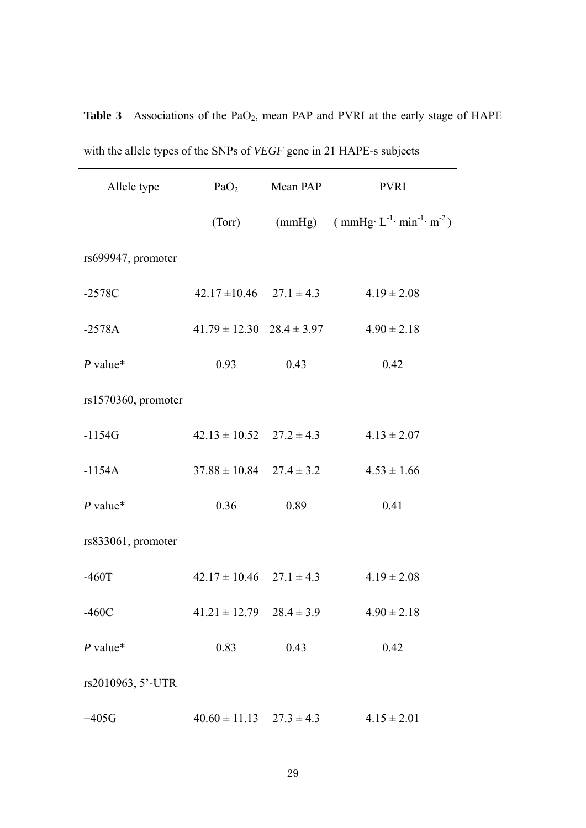| Allele type            | PaO <sub>2</sub>                  | Mean PAP | <b>PVRI</b>                                                                                                    |
|------------------------|-----------------------------------|----------|----------------------------------------------------------------------------------------------------------------|
|                        | (Torr)                            |          | (mmHg) $\text{(mmHg)} \quad$ $\text{(mmHg)} \quad$ $\text{L}^{-1} \cdot \text{min}^{-1} \cdot \text{m}^{-2}$ ) |
| rs699947, promoter     |                                   |          |                                                                                                                |
| $-2578C$               | $42.17 \pm 10.46$ $27.1 \pm 4.3$  |          | $4.19 \pm 2.08$                                                                                                |
| $-2578A$               | $41.79 \pm 12.30$ $28.4 \pm 3.97$ |          | $4.90 \pm 2.18$                                                                                                |
| $P$ value*             | 0.93                              | 0.43     | 0.42                                                                                                           |
| $rs1570360$ , promoter |                                   |          |                                                                                                                |
| $-1154G$               | $42.13 \pm 10.52$ $27.2 \pm 4.3$  |          | $4.13 \pm 2.07$                                                                                                |
| $-1154A$               | $37.88 \pm 10.84$ $27.4 \pm 3.2$  |          | $4.53 \pm 1.66$                                                                                                |
| $P$ value*             | 0.36                              | 0.89     | 0.41                                                                                                           |
| rs833061, promoter     |                                   |          |                                                                                                                |
| $-460T$                | $42.17 \pm 10.46$ $27.1 \pm 4.3$  |          | $4.19 \pm 2.08$                                                                                                |
| $-460C$                | $41.21 \pm 12.79$ $28.4 \pm 3.9$  |          | $4.90 \pm 2.18$                                                                                                |
| $P$ value*             | 0.83                              | 0.43     | 0.42                                                                                                           |
| rs2010963, 5'-UTR      |                                   |          |                                                                                                                |
| $+405G$                | $40.60 \pm 11.13$ $27.3 \pm 4.3$  |          | $4.15 \pm 2.01$                                                                                                |

Table 3 Associations of the PaO<sub>2</sub>, mean PAP and PVRI at the early stage of HAPE with the allele types of the SNPs of *VEGF* gene in 21 HAPE-s subjects